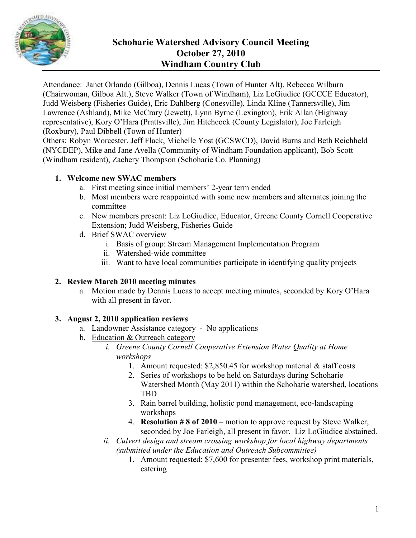

# **Schoharie Watershed Advisory Council Meeting October 27, 2010 Windham Country Club**

Attendance: Janet Orlando (Gilboa), Dennis Lucas (Town of Hunter Alt), Rebecca Wilburn (Chairwoman, Gilboa Alt.), Steve Walker (Town of Windham), Liz LoGiudice (GCCCE Educator), Judd Weisberg (Fisheries Guide), Eric Dahlberg (Conesville), Linda Kline (Tannersville), Jim Lawrence (Ashland), Mike McCrary (Jewett), Lynn Byrne (Lexington), Erik Allan (Highway representative), Kory O'Hara (Prattsville), Jim Hitchcock (County Legislator), Joe Farleigh (Roxbury), Paul Dibbell (Town of Hunter)

Others: Robyn Worcester, Jeff Flack, Michelle Yost (GCSWCD), David Burns and Beth Reichheld (NYCDEP), Mike and Jane Avella (Community of Windham Foundation applicant), Bob Scott (Windham resident), Zachery Thompson (Schoharie Co. Planning)

## **1. Welcome new SWAC members**

- a. First meeting since initial members' 2-year term ended
- b. Most members were reappointed with some new members and alternates joining the committee
- c. New members present: Liz LoGiudice, Educator, Greene County Cornell Cooperative Extension; Judd Weisberg, Fisheries Guide
- d. Brief SWAC overview
	- i. Basis of group: Stream Management Implementation Program
	- ii. Watershed-wide committee
	- iii. Want to have local communities participate in identifying quality projects

### **2. Review March 2010 meeting minutes**

a. Motion made by Dennis Lucas to accept meeting minutes, seconded by Kory O'Hara with all present in favor.

# **3. August 2, 2010 application reviews**

- a. Landowner Assistance category No applications
- b. Education & Outreach category
	- *i. Greene County Cornell Cooperative Extension Water Quality at Home workshops* 
		- 1. Amount requested: \$2,850.45 for workshop material & staff costs
		- 2. Series of workshops to be held on Saturdays during Schoharie Watershed Month (May 2011) within the Schoharie watershed, locations TBD
		- 3. Rain barrel building, holistic pond management, eco-landscaping workshops
		- 4. **Resolution # 8 of 2010** motion to approve request by Steve Walker, seconded by Joe Farleigh, all present in favor. Liz LoGiudice abstained.
	- *ii. Culvert design and stream crossing workshop for local highway departments (submitted under the Education and Outreach Subcommittee)* 
		- 1. Amount requested: \$7,600 for presenter fees, workshop print materials, catering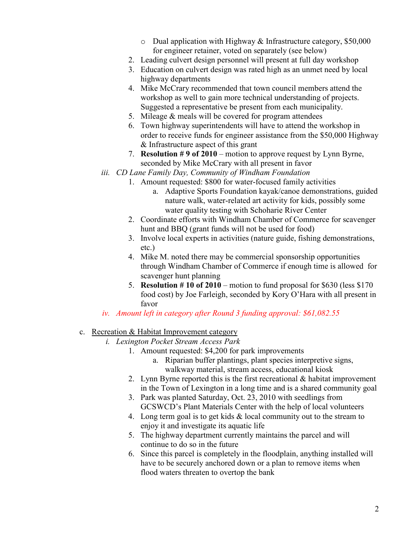- o Dual application with Highway & Infrastructure category, \$50,000 for engineer retainer, voted on separately (see below)
- 2. Leading culvert design personnel will present at full day workshop
- 3. Education on culvert design was rated high as an unmet need by local highway departments
- 4. Mike McCrary recommended that town council members attend the workshop as well to gain more technical understanding of projects. Suggested a representative be present from each municipality.
- 5. Mileage & meals will be covered for program attendees
- 6. Town highway superintendents will have to attend the workshop in order to receive funds for engineer assistance from the \$50,000 Highway & Infrastructure aspect of this grant
- 7. **Resolution # 9 of 2010** motion to approve request by Lynn Byrne, seconded by Mike McCrary with all present in favor
- *iii. CD Lane Family Day, Community of Windham Foundation* 
	- 1. Amount requested: \$800 for water-focused family activities
		- a. Adaptive Sports Foundation kayak/canoe demonstrations, guided nature walk, water-related art activity for kids, possibly some water quality testing with Schoharie River Center
	- 2. Coordinate efforts with Windham Chamber of Commerce for scavenger hunt and BBQ (grant funds will not be used for food)
	- 3. Involve local experts in activities (nature guide, fishing demonstrations, etc.)
	- 4. Mike M. noted there may be commercial sponsorship opportunities through Windham Chamber of Commerce if enough time is allowed for scavenger hunt planning
	- 5. **Resolution # 10 of 2010** motion to fund proposal for \$630 (less \$170 food cost) by Joe Farleigh, seconded by Kory O'Hara with all present in favor
- *iv. Amount left in category after Round 3 funding approval: \$61,082.55*

#### c. Recreation & Habitat Improvement category

- *i. Lexington Pocket Stream Access Park*
	- 1. Amount requested: \$4,200 for park improvements
		- a. Riparian buffer plantings, plant species interpretive signs, walkway material, stream access, educational kiosk
	- 2. Lynn Byrne reported this is the first recreational & habitat improvement in the Town of Lexington in a long time and is a shared community goal
	- 3. Park was planted Saturday, Oct. 23, 2010 with seedlings from GCSWCD's Plant Materials Center with the help of local volunteers
	- 4. Long term goal is to get kids  $&$  local community out to the stream to enjoy it and investigate its aquatic life
	- 5. The highway department currently maintains the parcel and will continue to do so in the future
	- 6. Since this parcel is completely in the floodplain, anything installed will have to be securely anchored down or a plan to remove items when flood waters threaten to overtop the bank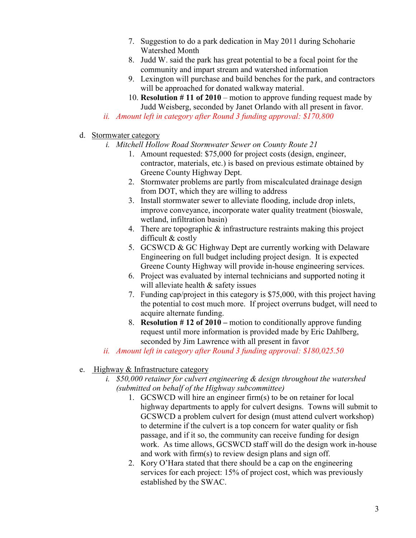- 7. Suggestion to do a park dedication in May 2011 during Schoharie Watershed Month
- 8. Judd W. said the park has great potential to be a focal point for the community and impart stream and watershed information
- 9. Lexington will purchase and build benches for the park, and contractors will be approached for donated walkway material.
- 10. **Resolution # 11 of 2010** motion to approve funding request made by Judd Weisberg, seconded by Janet Orlando with all present in favor.
- *ii. Amount left in category after Round 3 funding approval: \$170,800*
- d. Stormwater category
	- *i. Mitchell Hollow Road Stormwater Sewer on County Route 21* 
		- 1. Amount requested: \$75,000 for project costs (design, engineer, contractor, materials, etc.) is based on previous estimate obtained by Greene County Highway Dept.
		- 2. Stormwater problems are partly from miscalculated drainage design from DOT, which they are willing to address
		- 3. Install stormwater sewer to alleviate flooding, include drop inlets, improve conveyance, incorporate water quality treatment (bioswale, wetland, infiltration basin)
		- 4. There are topographic & infrastructure restraints making this project difficult & costly
		- 5. GCSWCD & GC Highway Dept are currently working with Delaware Engineering on full budget including project design. It is expected Greene County Highway will provide in-house engineering services.
		- 6. Project was evaluated by internal technicians and supported noting it will alleviate health & safety issues
		- 7. Funding cap/project in this category is \$75,000, with this project having the potential to cost much more. If project overruns budget, will need to acquire alternate funding.
		- 8. **Resolution # 12 of 2010** motion to conditionally approve funding request until more information is provided made by Eric Dahlberg, seconded by Jim Lawrence with all present in favor
	- *ii. Amount left in category after Round 3 funding approval: \$180,025.50*

### e. Highway & Infrastructure category

- *i. \$50,000 retainer for culvert engineering & design throughout the watershed (submitted on behalf of the Highway subcommittee)* 
	- 1. GCSWCD will hire an engineer firm(s) to be on retainer for local highway departments to apply for culvert designs. Towns will submit to GCSWCD a problem culvert for design (must attend culvert workshop) to determine if the culvert is a top concern for water quality or fish passage, and if it so, the community can receive funding for design work. As time allows, GCSWCD staff will do the design work in-house and work with firm(s) to review design plans and sign off.
	- 2. Kory O'Hara stated that there should be a cap on the engineering services for each project: 15% of project cost, which was previously established by the SWAC.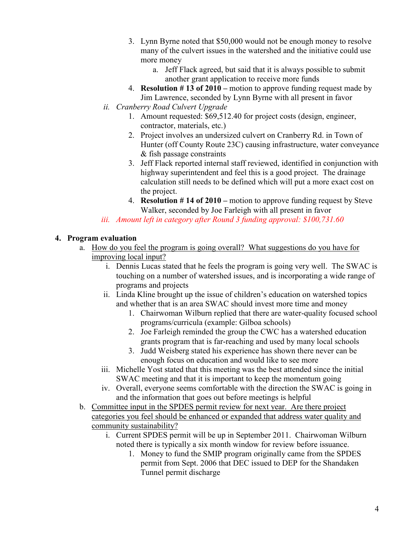- 3. Lynn Byrne noted that \$50,000 would not be enough money to resolve many of the culvert issues in the watershed and the initiative could use more money
	- a. Jeff Flack agreed, but said that it is always possible to submit another grant application to receive more funds
- 4. **Resolution # 13 of 2010** motion to approve funding request made by Jim Lawrence, seconded by Lynn Byrne with all present in favor
- *ii. Cranberry Road Culvert Upgrade* 
	- 1. Amount requested: \$69,512.40 for project costs (design, engineer, contractor, materials, etc.)
	- 2. Project involves an undersized culvert on Cranberry Rd. in Town of Hunter (off County Route 23C) causing infrastructure, water conveyance & fish passage constraints
	- 3. Jeff Flack reported internal staff reviewed, identified in conjunction with highway superintendent and feel this is a good project. The drainage calculation still needs to be defined which will put a more exact cost on the project.
	- 4. **Resolution # 14 of 2010** motion to approve funding request by Steve Walker, seconded by Joe Farleigh with all present in favor
- *iii. Amount left in category after Round 3 funding approval: \$100,731.60*

## **4. Program evaluation**

- a. How do you feel the program is going overall? What suggestions do you have for improving local input?
	- i. Dennis Lucas stated that he feels the program is going very well. The SWAC is touching on a number of watershed issues, and is incorporating a wide range of programs and projects
	- ii. Linda Kline brought up the issue of children's education on watershed topics and whether that is an area SWAC should invest more time and money
		- 1. Chairwoman Wilburn replied that there are water-quality focused school programs/curricula (example: Gilboa schools)
		- 2. Joe Farleigh reminded the group the CWC has a watershed education grants program that is far-reaching and used by many local schools
		- 3. Judd Weisberg stated his experience has shown there never can be enough focus on education and would like to see more
	- iii. Michelle Yost stated that this meeting was the best attended since the initial SWAC meeting and that it is important to keep the momentum going
	- iv. Overall, everyone seems comfortable with the direction the SWAC is going in and the information that goes out before meetings is helpful
- b. Committee input in the SPDES permit review for next year. Are there project categories you feel should be enhanced or expanded that address water quality and community sustainability?
	- i. Current SPDES permit will be up in September 2011. Chairwoman Wilburn noted there is typically a six month window for review before issuance.
		- 1. Money to fund the SMIP program originally came from the SPDES permit from Sept. 2006 that DEC issued to DEP for the Shandaken Tunnel permit discharge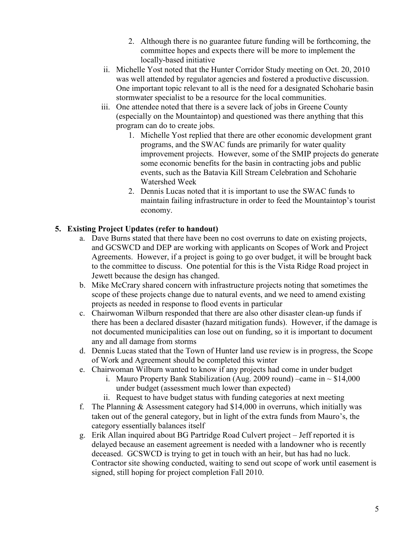- 2. Although there is no guarantee future funding will be forthcoming, the committee hopes and expects there will be more to implement the locally-based initiative
- ii. Michelle Yost noted that the Hunter Corridor Study meeting on Oct. 20, 2010 was well attended by regulator agencies and fostered a productive discussion. One important topic relevant to all is the need for a designated Schoharie basin stormwater specialist to be a resource for the local communities.
- iii. One attendee noted that there is a severe lack of jobs in Greene County (especially on the Mountaintop) and questioned was there anything that this program can do to create jobs.
	- 1. Michelle Yost replied that there are other economic development grant programs, and the SWAC funds are primarily for water quality improvement projects. However, some of the SMIP projects do generate some economic benefits for the basin in contracting jobs and public events, such as the Batavia Kill Stream Celebration and Schoharie Watershed Week
	- 2. Dennis Lucas noted that it is important to use the SWAC funds to maintain failing infrastructure in order to feed the Mountaintop's tourist economy.

## **5. Existing Project Updates (refer to handout)**

- a. Dave Burns stated that there have been no cost overruns to date on existing projects, and GCSWCD and DEP are working with applicants on Scopes of Work and Project Agreements. However, if a project is going to go over budget, it will be brought back to the committee to discuss. One potential for this is the Vista Ridge Road project in Jewett because the design has changed.
- b. Mike McCrary shared concern with infrastructure projects noting that sometimes the scope of these projects change due to natural events, and we need to amend existing projects as needed in response to flood events in particular
- c. Chairwoman Wilburn responded that there are also other disaster clean-up funds if there has been a declared disaster (hazard mitigation funds). However, if the damage is not documented municipalities can lose out on funding, so it is important to document any and all damage from storms
- d. Dennis Lucas stated that the Town of Hunter land use review is in progress, the Scope of Work and Agreement should be completed this winter
- e. Chairwoman Wilburn wanted to know if any projects had come in under budget
	- i. Mauro Property Bank Stabilization (Aug. 2009 round) –came in  $\sim$  \$14,000 under budget (assessment much lower than expected)
	- ii. Request to have budget status with funding categories at next meeting
- f. The Planning  $&$  Assessment category had \$14,000 in overruns, which initially was taken out of the general category, but in light of the extra funds from Mauro's, the category essentially balances itself
- g. Erik Allan inquired about BG Partridge Road Culvert project Jeff reported it is delayed because an easement agreement is needed with a landowner who is recently deceased. GCSWCD is trying to get in touch with an heir, but has had no luck. Contractor site showing conducted, waiting to send out scope of work until easement is signed, still hoping for project completion Fall 2010.